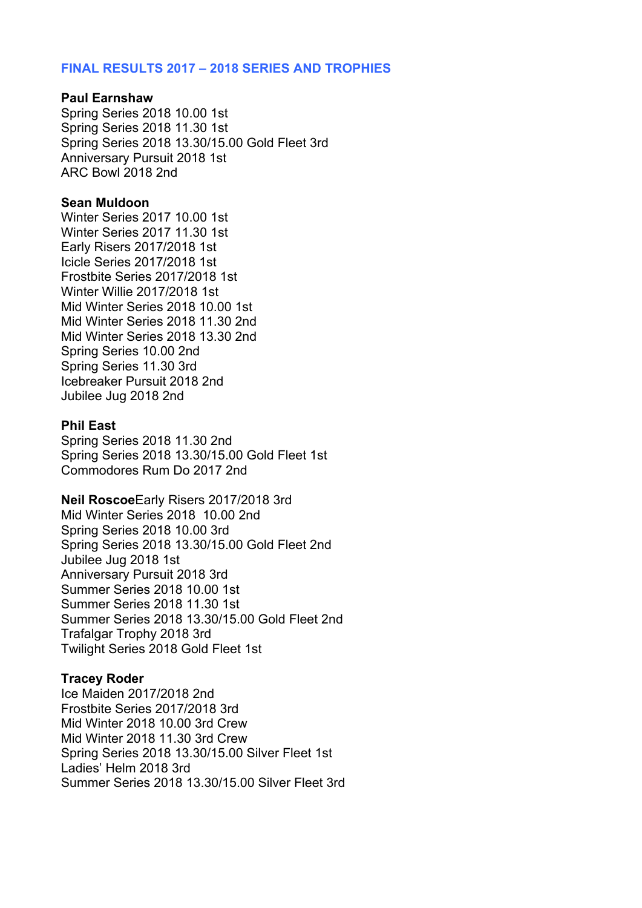# **FINAL RESULTS 2017 – 2018 SERIES AND TROPHIES**

#### **Paul Earnshaw**

Spring Series 2018 10.00 1st Spring Series 2018 11.30 1st Spring Series 2018 13.30/15.00 Gold Fleet 3rd Anniversary Pursuit 2018 1st ARC Bowl 2018 2nd

#### **Sean Muldoon**

Winter Series 2017 10.00 1st Winter Series 2017 11.30 1st Early Risers 2017/2018 1st Icicle Series 2017/2018 1st Frostbite Series 2017/2018 1st Winter Willie 2017/2018 1st Mid Winter Series 2018 10.00 1st Mid Winter Series 2018 11.30 2nd Mid Winter Series 2018 13.30 2nd Spring Series 10.00 2nd Spring Series 11.30 3rd Icebreaker Pursuit 2018 2nd Jubilee Jug 2018 2nd

#### **Phil East**

Spring Series 2018 11.30 2nd Spring Series 2018 13.30/15.00 Gold Fleet 1st Commodores Rum Do 2017 2nd

**Neil Roscoe**Early Risers 2017/2018 3rd Mid Winter Series 2018 10.00 2nd

Spring Series 2018 10.00 3rd Spring Series 2018 13.30/15.00 Gold Fleet 2nd Jubilee Jug 2018 1st Anniversary Pursuit 2018 3rd Summer Series 2018 10.00 1st Summer Series 2018 11.30 1st Summer Series 2018 13.30/15.00 Gold Fleet 2nd Trafalgar Trophy 2018 3rd Twilight Series 2018 Gold Fleet 1st

### **Tracey Roder**

Ice Maiden 2017/2018 2nd Frostbite Series 2017/2018 3rd Mid Winter 2018 10.00 3rd Crew Mid Winter 2018 11.30 3rd Crew Spring Series 2018 13.30/15.00 Silver Fleet 1st Ladies' Helm 2018 3rd Summer Series 2018 13.30/15.00 Silver Fleet 3rd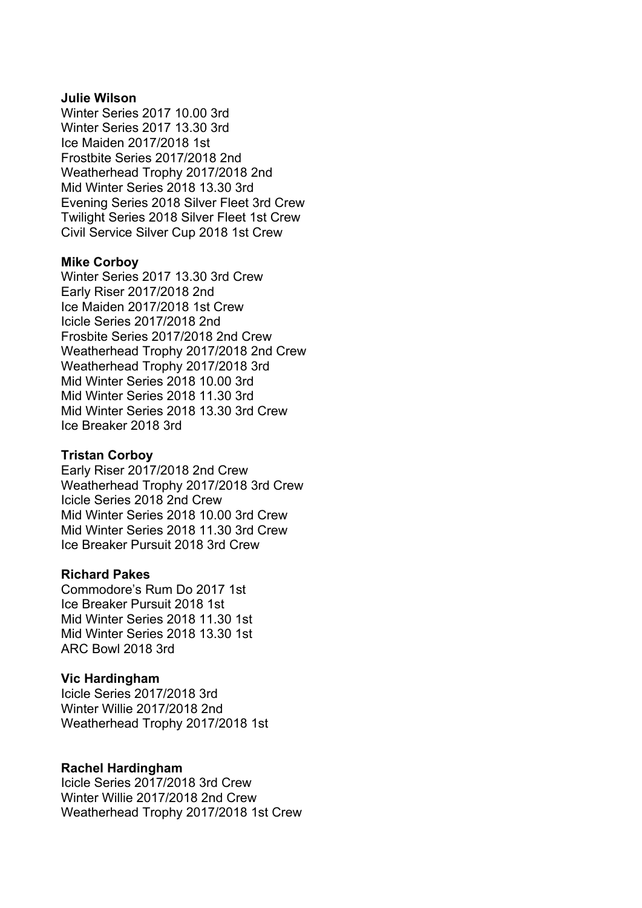### **Julie Wilson**

Winter Series 2017 10.00 3rd Winter Series 2017 13.30 3rd Ice Maiden 2017/2018 1st Frostbite Series 2017/2018 2nd Weatherhead Trophy 2017/2018 2nd Mid Winter Series 2018 13.30 3rd Evening Series 2018 Silver Fleet 3rd Crew Twilight Series 2018 Silver Fleet 1st Crew Civil Service Silver Cup 2018 1st Crew

#### **Mike Corboy**

Winter Series 2017 13.30 3rd Crew Early Riser 2017/2018 2nd Ice Maiden 2017/2018 1st Crew Icicle Series 2017/2018 2nd Frosbite Series 2017/2018 2nd Crew Weatherhead Trophy 2017/2018 2nd Crew Weatherhead Trophy 2017/2018 3rd Mid Winter Series 2018 10.00 3rd Mid Winter Series 2018 11.30 3rd Mid Winter Series 2018 13.30 3rd Crew Ice Breaker 2018 3rd

#### **Tristan Corboy**

Early Riser 2017/2018 2nd Crew Weatherhead Trophy 2017/2018 3rd Crew Icicle Series 2018 2nd Crew Mid Winter Series 2018 10.00 3rd Crew Mid Winter Series 2018 11.30 3rd Crew Ice Breaker Pursuit 2018 3rd Crew

# **Richard Pakes**

Commodore's Rum Do 2017 1st Ice Breaker Pursuit 2018 1st Mid Winter Series 2018 11.30 1st Mid Winter Series 2018 13.30 1st ARC Bowl 2018 3rd

#### **Vic Hardingham**

Icicle Series 2017/2018 3rd Winter Willie 2017/2018 2nd Weatherhead Trophy 2017/2018 1st

#### **Rachel Hardingham**

Icicle Series 2017/2018 3rd Crew Winter Willie 2017/2018 2nd Crew Weatherhead Trophy 2017/2018 1st Crew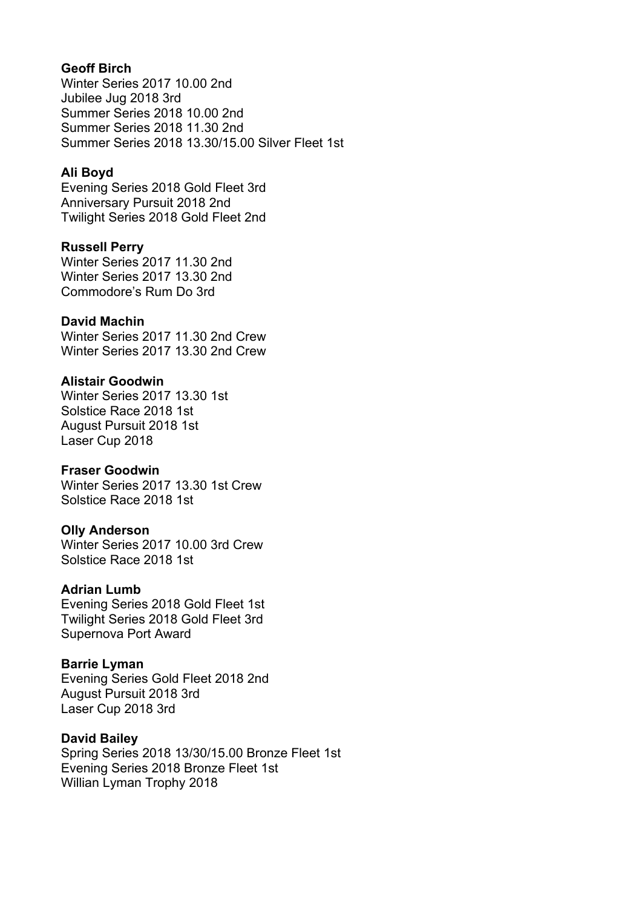# **Geoff Birch**

Winter Series 2017 10.00 2nd Jubilee Jug 2018 3rd Summer Series 2018 10.00 2nd Summer Series 2018 11.30 2nd Summer Series 2018 13.30/15.00 Silver Fleet 1st

## **Ali Boyd**

Evening Series 2018 Gold Fleet 3rd Anniversary Pursuit 2018 2nd Twilight Series 2018 Gold Fleet 2nd

## **Russell Perry**

Winter Series 2017 11.30 2nd Winter Series 2017 13.30 2nd Commodore's Rum Do 3rd

## **David Machin**

Winter Series 2017 11.30 2nd Crew Winter Series 2017 13.30 2nd Crew

## **Alistair Goodwin**

Winter Series 2017 13.30 1st Solstice Race 2018 1st August Pursuit 2018 1st Laser Cup 2018

### **Fraser Goodwin**

Winter Series 2017 13.30 1st Crew Solstice Race 2018 1st

# **Olly Anderson**

Winter Series 2017 10.00 3rd Crew Solstice Race 2018 1st

### **Adrian Lumb**

Evening Series 2018 Gold Fleet 1st Twilight Series 2018 Gold Fleet 3rd Supernova Port Award

### **Barrie Lyman**

Evening Series Gold Fleet 2018 2nd August Pursuit 2018 3rd Laser Cup 2018 3rd

### **David Bailey**

Spring Series 2018 13/30/15.00 Bronze Fleet 1st Evening Series 2018 Bronze Fleet 1st Willian Lyman Trophy 2018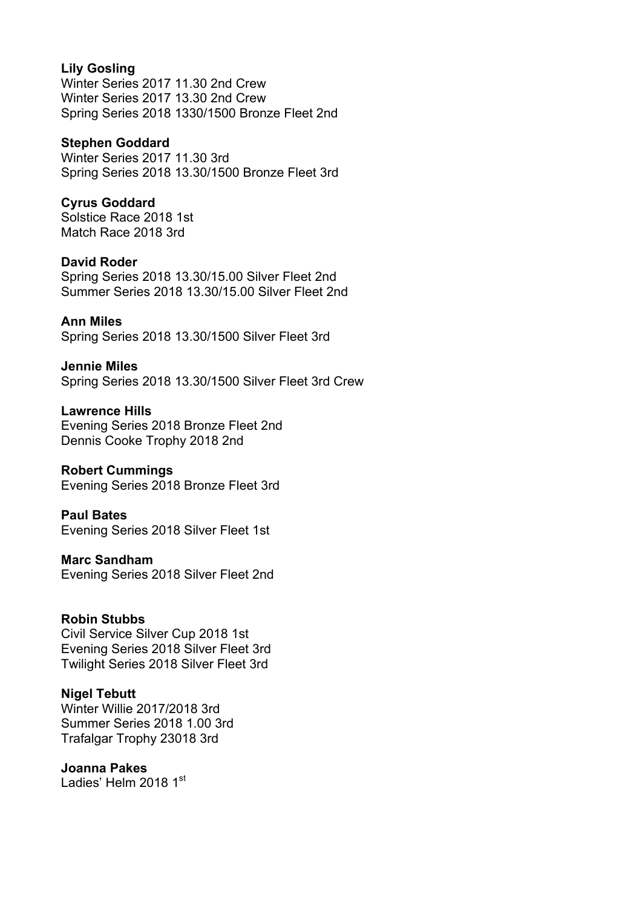# **Lily Gosling**

Winter Series 2017 11.30 2nd Crew Winter Series 2017 13.30 2nd Crew Spring Series 2018 1330/1500 Bronze Fleet 2nd

## **Stephen Goddard**

Winter Series 2017 11.30 3rd Spring Series 2018 13.30/1500 Bronze Fleet 3rd

# **Cyrus Goddard**

Solstice Race 2018 1st Match Race 2018 3rd

## **David Roder**

Spring Series 2018 13.30/15.00 Silver Fleet 2nd Summer Series 2018 13.30/15.00 Silver Fleet 2nd

# **Ann Miles**

Spring Series 2018 13.30/1500 Silver Fleet 3rd

**Jennie Miles** Spring Series 2018 13.30/1500 Silver Fleet 3rd Crew

**Lawrence Hills** Evening Series 2018 Bronze Fleet 2nd Dennis Cooke Trophy 2018 2nd

# **Robert Cummings**

Evening Series 2018 Bronze Fleet 3rd

**Paul Bates** Evening Series 2018 Silver Fleet 1st

**Marc Sandham** Evening Series 2018 Silver Fleet 2nd

# **Robin Stubbs**

Civil Service Silver Cup 2018 1st Evening Series 2018 Silver Fleet 3rd Twilight Series 2018 Silver Fleet 3rd

# **Nigel Tebutt**

Winter Willie 2017/2018 3rd Summer Series 2018 1.00 3rd Trafalgar Trophy 23018 3rd

### **Joanna Pakes**

Ladies' Helm 2018 1st